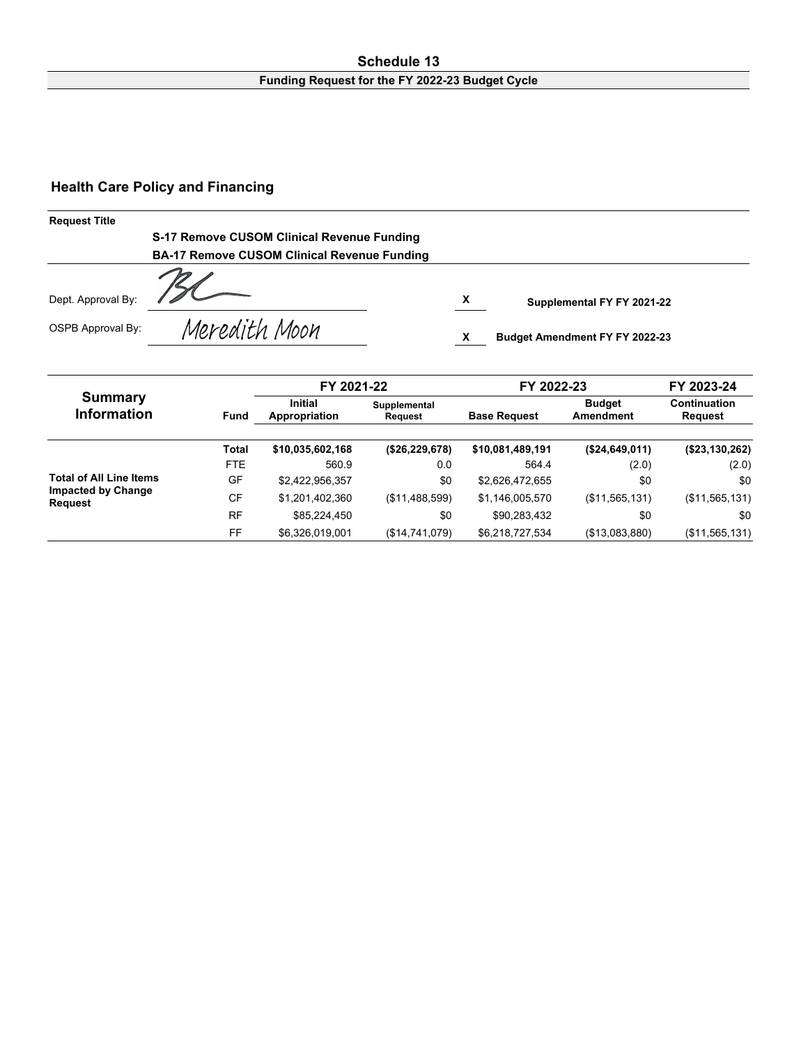#### **Schedule 13 Funding Request for the FY 2022-23 Budget Cycle**

# **Health Care Policy and Financing**

| <b>Request Title</b> |                                                    |   |                                       |
|----------------------|----------------------------------------------------|---|---------------------------------------|
|                      | S-17 Remove CUSOM Clinical Revenue Funding         |   |                                       |
|                      | <b>BA-17 Remove CUSOM Clinical Revenue Funding</b> |   |                                       |
| Dept. Approval By:   |                                                    | x | Supplemental FY FY 2021-22            |
| OSPB Approval By:    | Meredith Moon                                      |   | <b>Budget Amendment FY FY 2022-23</b> |

|                                |             | FY 2021-22                      |                         | FY 2022-23          | FY 2023-24                 |                         |  |
|--------------------------------|-------------|---------------------------------|-------------------------|---------------------|----------------------------|-------------------------|--|
| Summary<br><b>Information</b>  | <b>Fund</b> | <b>Initial</b><br>Appropriation | Supplemental<br>Request | <b>Base Request</b> | <b>Budget</b><br>Amendment | Continuation<br>Request |  |
|                                | Total       | \$10,035,602,168                | (\$26,229,678)          | \$10,081,489,191    | (\$24,649,011)             | (\$23,130,262)          |  |
|                                | <b>FTE</b>  | 560.9                           | 0.0                     | 564.4               | (2.0)                      | (2.0)                   |  |
| <b>Total of All Line Items</b> | GF          | \$2,422,956,357                 | \$0                     | \$2,626,472,655     | \$0                        | \$0                     |  |
| Impacted by Change<br>Request  | CF          | \$1,201,402,360                 | (\$11,488,599)          | \$1,146,005,570     | (\$11,565,131)             | (\$11,565,131)          |  |
|                                | <b>RF</b>   | \$85,224,450                    | \$0                     | \$90,283,432        | \$0                        | \$0                     |  |
|                                | FF          | \$6,326,019,001                 | (\$14,741,079)          | \$6,218,727,534     | (\$13,083,880)             | (\$11,565,131)          |  |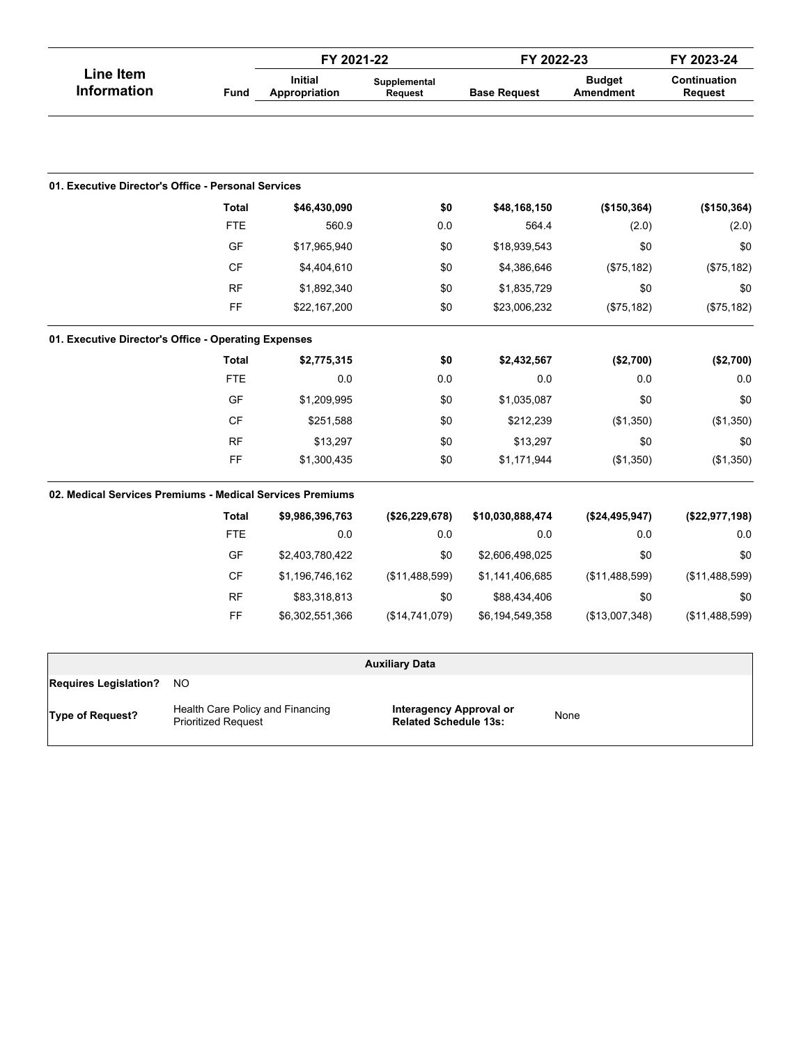|                                                           |                                                                | FY 2021-22                      |                                                         | FY 2022-23          | FY 2023-24                        |                                |
|-----------------------------------------------------------|----------------------------------------------------------------|---------------------------------|---------------------------------------------------------|---------------------|-----------------------------------|--------------------------------|
| <b>Line Item</b><br><b>Information</b>                    | Fund                                                           | <b>Initial</b><br>Appropriation | Supplemental<br><b>Request</b>                          | <b>Base Request</b> | <b>Budget</b><br><b>Amendment</b> | Continuation<br><b>Request</b> |
|                                                           |                                                                |                                 |                                                         |                     |                                   |                                |
| 01. Executive Director's Office - Personal Services       |                                                                |                                 |                                                         |                     |                                   |                                |
|                                                           | <b>Total</b>                                                   | \$46,430,090                    | \$0                                                     | \$48,168,150        | (\$150, 364)                      | (\$150, 364)                   |
|                                                           | <b>FTE</b>                                                     | 560.9                           | 0.0                                                     | 564.4               | (2.0)                             | (2.0)                          |
|                                                           | GF                                                             | \$17,965,940                    | \$0                                                     | \$18,939,543        | \$0                               | \$0                            |
|                                                           | <b>CF</b>                                                      | \$4,404,610                     | \$0                                                     | \$4,386,646         | (\$75, 182)                       | (\$75, 182)                    |
|                                                           | <b>RF</b>                                                      | \$1,892,340                     | \$0                                                     | \$1,835,729         | \$0                               | \$0                            |
|                                                           | FF                                                             | \$22,167,200                    | \$0                                                     | \$23,006,232        | (\$75, 182)                       | (\$75, 182)                    |
| 01. Executive Director's Office - Operating Expenses      |                                                                |                                 |                                                         |                     |                                   |                                |
|                                                           | <b>Total</b>                                                   | \$2,775,315                     | \$0                                                     | \$2,432,567         | (\$2,700)                         | (\$2,700)                      |
|                                                           | <b>FTE</b>                                                     | 0.0                             | 0.0                                                     | 0.0                 | 0.0                               | 0.0                            |
|                                                           | GF                                                             | \$1,209,995                     | \$0                                                     | \$1,035,087         | \$0                               | \$0                            |
|                                                           | <b>CF</b>                                                      | \$251,588                       | \$0                                                     | \$212,239           | (\$1,350)                         | (\$1,350)                      |
|                                                           | <b>RF</b>                                                      | \$13,297                        | \$0                                                     | \$13,297            | \$0                               | \$0                            |
|                                                           | FF                                                             | \$1,300,435                     | \$0                                                     | \$1,171,944         | (\$1,350)                         | (\$1,350)                      |
| 02. Medical Services Premiums - Medical Services Premiums |                                                                |                                 |                                                         |                     |                                   |                                |
|                                                           | <b>Total</b>                                                   | \$9,986,396,763                 | (\$26,229,678)                                          | \$10,030,888,474    | (\$24,495,947)                    | (\$22,977,198)                 |
|                                                           | <b>FTE</b>                                                     | 0.0                             | 0.0                                                     | 0.0                 | 0.0                               | 0.0                            |
|                                                           | GF                                                             | \$2,403,780,422                 | \$0                                                     | \$2,606,498,025     | \$0                               | \$0                            |
|                                                           | <b>CF</b>                                                      | \$1,196,746,162                 | (\$11,488,599)                                          | \$1,141,406,685     | (\$11,488,599)                    | (\$11,488,599)                 |
|                                                           | <b>RF</b>                                                      | \$83,318,813                    | \$0                                                     | \$88,434,406        | \$0                               | \$0                            |
|                                                           | FF                                                             | \$6,302,551,366                 | (\$14,741,079)                                          | \$6,194,549,358     | (\$13,007,348)                    | (\$11,488,599)                 |
|                                                           |                                                                |                                 | <b>Auxiliary Data</b>                                   |                     |                                   |                                |
| <b>Requires Legislation?</b>                              | <b>NO</b>                                                      |                                 |                                                         |                     |                                   |                                |
| <b>Type of Request?</b>                                   | Health Care Policy and Financing<br><b>Prioritized Request</b> |                                 | Interagency Approval or<br><b>Related Schedule 13s:</b> |                     | None                              |                                |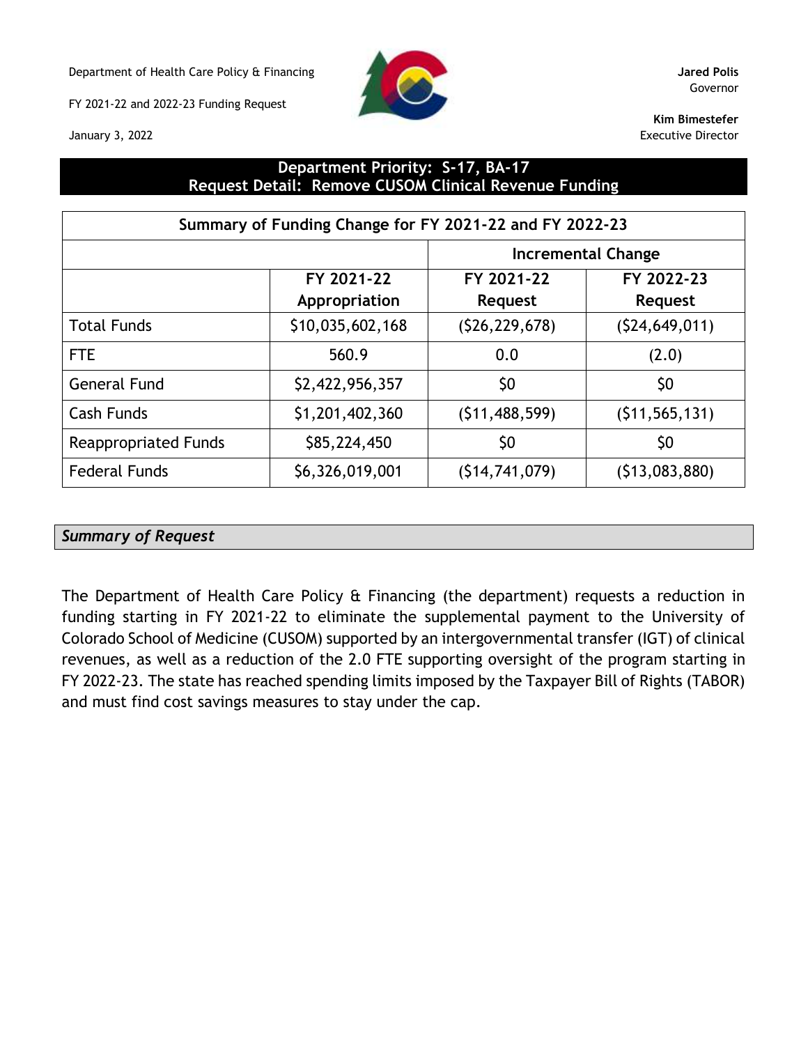Department of Health Care Policy & Financing **Jared Polis**

FY 2021-22 and 2022-23 Funding Request





Governor

**Kim Bimestefer** Executive Director

## **Department Priority: S-17, BA-17 Request Detail: Remove CUSOM Clinical Revenue Funding**

| Summary of Funding Change for FY 2021-22 and FY 2022-23 |                  |                           |                 |  |  |  |  |  |  |
|---------------------------------------------------------|------------------|---------------------------|-----------------|--|--|--|--|--|--|
|                                                         |                  | <b>Incremental Change</b> |                 |  |  |  |  |  |  |
|                                                         | FY 2021-22       | FY 2021-22                | FY 2022-23      |  |  |  |  |  |  |
|                                                         | Appropriation    | <b>Request</b>            | <b>Request</b>  |  |  |  |  |  |  |
| <b>Total Funds</b>                                      | \$10,035,602,168 | (526, 229, 678)           | (524, 649, 011) |  |  |  |  |  |  |
| <b>FTE</b>                                              | 560.9            | 0.0                       | (2.0)           |  |  |  |  |  |  |
| <b>General Fund</b>                                     | \$2,422,956,357  | \$0                       | \$0             |  |  |  |  |  |  |
| <b>Cash Funds</b>                                       | \$1,201,402,360  | (511, 488, 599)           | (511, 565, 131) |  |  |  |  |  |  |
| <b>Reappropriated Funds</b>                             | \$85,224,450     | \$0                       | \$0             |  |  |  |  |  |  |
| <b>Federal Funds</b>                                    | \$6,326,019,001  | (514, 741, 079)           | (513,083,880)   |  |  |  |  |  |  |

### *Summary of Request*

The Department of Health Care Policy & Financing (the department) requests a reduction in funding starting in FY 2021-22 to eliminate the supplemental payment to the University of Colorado School of Medicine (CUSOM) supported by an intergovernmental transfer (IGT) of clinical revenues, as well as a reduction of the 2.0 FTE supporting oversight of the program starting in FY 2022-23. The state has reached spending limits imposed by the Taxpayer Bill of Rights (TABOR) and must find cost savings measures to stay under the cap.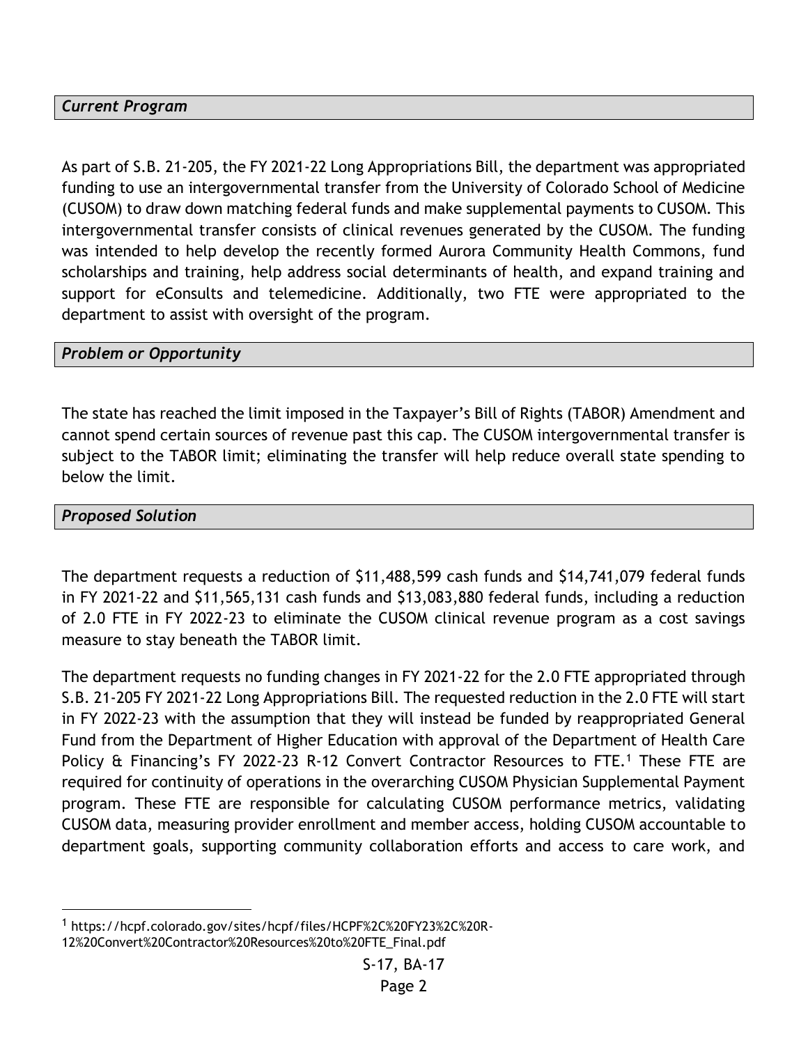## *Current Program*

As part of S.B. 21-205, the FY 2021-22 Long Appropriations Bill, the department was appropriated funding to use an intergovernmental transfer from the University of Colorado School of Medicine (CUSOM) to draw down matching federal funds and make supplemental payments to CUSOM. This intergovernmental transfer consists of clinical revenues generated by the CUSOM. The funding was intended to help develop the recently formed Aurora Community Health Commons, fund scholarships and training, help address social determinants of health, and expand training and support for eConsults and telemedicine. Additionally, two FTE were appropriated to the department to assist with oversight of the program.

## *Problem or Opportunity*

The state has reached the limit imposed in the Taxpayer's Bill of Rights (TABOR) Amendment and cannot spend certain sources of revenue past this cap. The CUSOM intergovernmental transfer is subject to the TABOR limit; eliminating the transfer will help reduce overall state spending to below the limit.

### *Proposed Solution*

The department requests a reduction of \$11,488,599 cash funds and \$14,741,079 federal funds in FY 2021-22 and \$11,565,131 cash funds and \$13,083,880 federal funds, including a reduction of 2.0 FTE in FY 2022-23 to eliminate the CUSOM clinical revenue program as a cost savings measure to stay beneath the TABOR limit.

The department requests no funding changes in FY 2021-22 for the 2.0 FTE appropriated through S.B. 21-205 FY 2021-22 Long Appropriations Bill. The requested reduction in the 2.0 FTE will start in FY 2022-23 with the assumption that they will instead be funded by reappropriated General Fund from the Department of Higher Education with approval of the Department of Health Care Policy & Financing's FY 2022-23 R-12 Convert Contractor Resources to FTE.<sup>1</sup> These FTE are required for continuity of operations in the overarching CUSOM Physician Supplemental Payment program. These FTE are responsible for calculating CUSOM performance metrics, validating CUSOM data, measuring provider enrollment and member access, holding CUSOM accountable to department goals, supporting community collaboration efforts and access to care work, and

<sup>1</sup> https://hcpf.colorado.gov/sites/hcpf/files/HCPF%2C%20FY23%2C%20R-

<sup>12%20</sup>Convert%20Contractor%20Resources%20to%20FTE\_Final.pdf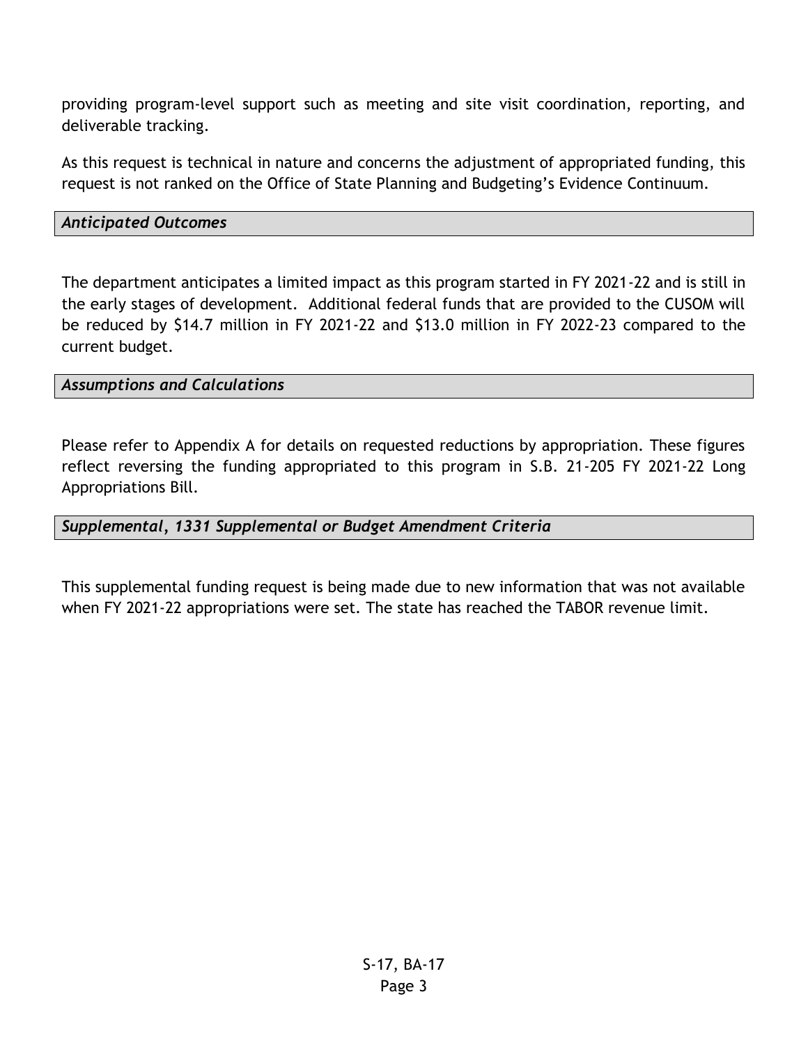providing program-level support such as meeting and site visit coordination, reporting, and deliverable tracking.

As this request is technical in nature and concerns the adjustment of appropriated funding, this request is not ranked on the Office of State Planning and Budgeting's Evidence Continuum.

# *Anticipated Outcomes*

The department anticipates a limited impact as this program started in FY 2021-22 and is still in the early stages of development. Additional federal funds that are provided to the CUSOM will be reduced by \$14.7 million in FY 2021-22 and \$13.0 million in FY 2022-23 compared to the current budget.

## *Assumptions and Calculations*

Please refer to Appendix A for details on requested reductions by appropriation. These figures reflect reversing the funding appropriated to this program in S.B. 21-205 FY 2021-22 Long Appropriations Bill.

# *Supplemental, 1331 Supplemental or Budget Amendment Criteria*

This supplemental funding request is being made due to new information that was not available when FY 2021-22 appropriations were set. The state has reached the TABOR revenue limit.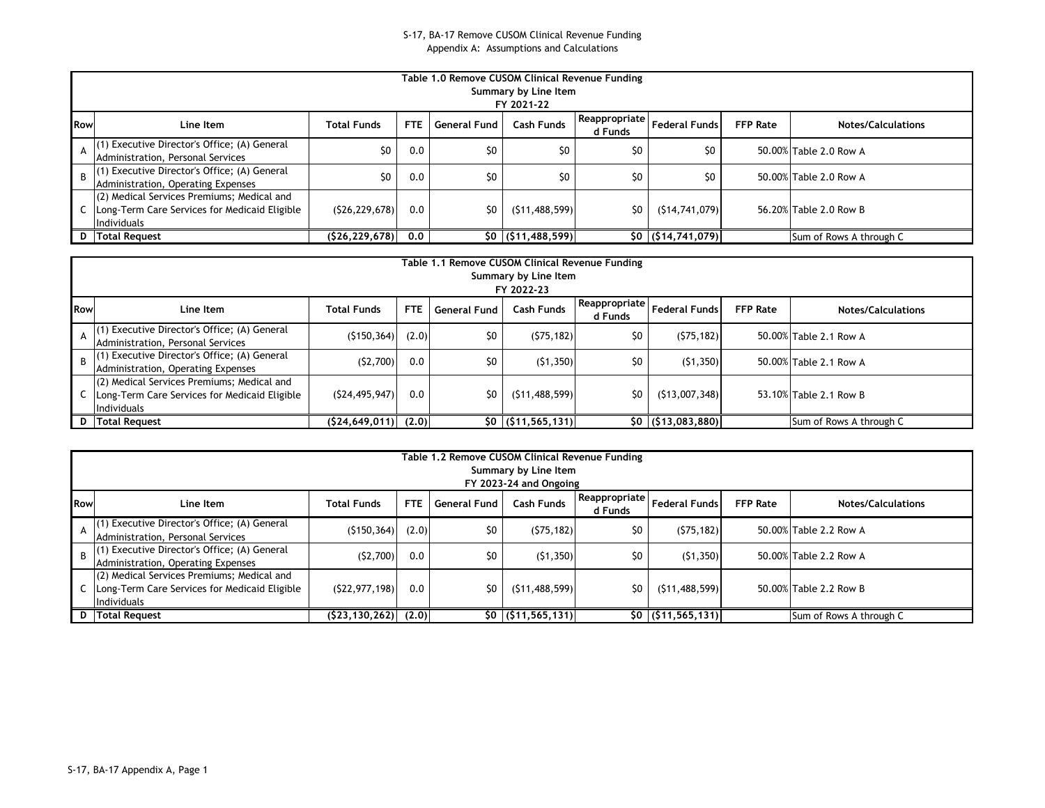#### S-17, BA-17 Remove CUSOM Clinical Revenue Funding Appendix A: Assumptions and Calculations

|            | Table 1.0 Remove CUSOM Clinical Revenue Funding<br>Summary by Line Item<br>FY 2021-22                        |                    |            |                     |                      |                          |                      |                 |                           |  |  |
|------------|--------------------------------------------------------------------------------------------------------------|--------------------|------------|---------------------|----------------------|--------------------------|----------------------|-----------------|---------------------------|--|--|
| <b>Row</b> | Line Item                                                                                                    | <b>Total Funds</b> | <b>FTE</b> | <b>General Fund</b> | Cash Funds           | Reappropriate<br>d Funds | <b>Federal Funds</b> | <b>FFP Rate</b> | <b>Notes/Calculations</b> |  |  |
|            | (1) Executive Director's Office; (A) General<br>Administration, Personal Services                            | \$0                | 0.0        | \$0                 | \$0                  | \$0                      | \$0                  |                 | 50.00% Table 2.0 Row A    |  |  |
|            | $B$ $(1)$ Executive Director's Office; (A) General<br>Administration, Operating Expenses                     | \$0                | 0.0        | \$0                 | \$0                  | \$0                      | \$0                  |                 | 50.00% Table 2.0 Row A    |  |  |
|            | (2) Medical Services Premiums; Medical and<br>C Long-Term Care Services for Medicaid Eligible<br>Individuals | (526, 229, 678)    | 0.0        | \$0                 | (511, 488, 599)      | \$0                      | (514, 741, 079)      |                 | 56.20% Table 2.0 Row B    |  |  |
|            | D Total Request                                                                                              | (\$26, 229, 678]   | 0.0        |                     | \$0   (\$11,488,599) |                          | \$0   (\$14,741,079) |                 | Sum of Rows A through C   |  |  |

|            | Table 1.1 Remove CUSOM Clinical Revenue Funding                                                              |                           |            |                     |                      |                          |                      |                 |                           |  |  |  |
|------------|--------------------------------------------------------------------------------------------------------------|---------------------------|------------|---------------------|----------------------|--------------------------|----------------------|-----------------|---------------------------|--|--|--|
|            | Summary by Line Item                                                                                         |                           |            |                     |                      |                          |                      |                 |                           |  |  |  |
|            | FY 2022-23                                                                                                   |                           |            |                     |                      |                          |                      |                 |                           |  |  |  |
| <b>Row</b> | Line Item                                                                                                    | <b>Total Funds</b>        | <b>FTE</b> | <b>General Fund</b> | <b>Cash Funds</b>    | Reappropriate<br>d Funds | Federal Funds        | <b>FFP Rate</b> | <b>Notes/Calculations</b> |  |  |  |
| A          | (1) Executive Director's Office; (A) General<br>Administration, Personal Services                            | (5150, 364)               | (2.0)      | \$0                 | (575, 182)           | \$0                      | (575, 182)           |                 | 50.00% Table 2.1 Row A    |  |  |  |
|            | $B$ (1) Executive Director's Office; (A) General<br>Administration, Operating Expenses                       | (52,700)                  | 0.0        | \$0                 | (51, 350)            | S0                       | (51, 350)            |                 | 50.00% Table 2.1 Row A    |  |  |  |
|            | (2) Medical Services Premiums; Medical and<br>C Long-Term Care Services for Medicaid Eligible<br>Individuals | (524, 495, 947)           | 0.0        | \$0                 | (511, 488, 599)      | SO.                      | (513,007,348)        |                 | 53.10% Table 2.1 Row B    |  |  |  |
|            | D Total Request                                                                                              | $(524, 649, 011)$ $(2.0)$ |            |                     | \$0   (\$11,565,131) |                          | \$0   (\$13,083,880) |                 | Sum of Rows A through C   |  |  |  |

|            | Table 1,2 Remove CUSOM Clinical Revenue Funding<br>Summary by Line Item<br>FY 2023-24 and Ongoing                         |                    |            |                     |                      |                            |                      |                 |                           |  |  |
|------------|---------------------------------------------------------------------------------------------------------------------------|--------------------|------------|---------------------|----------------------|----------------------------|----------------------|-----------------|---------------------------|--|--|
| <b>Row</b> | Line Item                                                                                                                 | <b>Total Funds</b> | <b>FTE</b> | <b>General Fund</b> | Cash Funds           | Reappropriate  <br>d Funds | <b>Federal Funds</b> | <b>FFP Rate</b> | <b>Notes/Calculations</b> |  |  |
|            | (1) Executive Director's Office; (A) General<br>Administration, Personal Services                                         | (5150, 364)        | (2.0)      | \$0                 | (575, 182)           | \$0                        | (575, 182)           |                 | 50.00% Table 2.2 Row A    |  |  |
|            | $\begin{bmatrix} 1 \\ B \end{bmatrix}$ (1) Executive Director's Office; (A) General<br>Administration, Operating Expenses | (52,700)           | 0.0        | \$0                 | (51, 350)            | \$0                        | (51, 350)            |                 | 50.00% Table 2.2 Row A    |  |  |
|            | (2) Medical Services Premiums; Medical and<br>C   Long-Term Care Services for Medicaid Eligible<br><b>Individuals</b>     | (S22, 977, 198)    | 0.0        | \$0                 | (511, 488, 599)      | \$0                        | (511, 488, 599)      |                 | 50.00% Table 2.2 Row B    |  |  |
|            | D   Total Request                                                                                                         | (523, 130, 262)    | (2.0)      |                     | \$0   (\$11,565,131) |                            | \$0   (\$11,565,131) |                 | Sum of Rows A through C   |  |  |